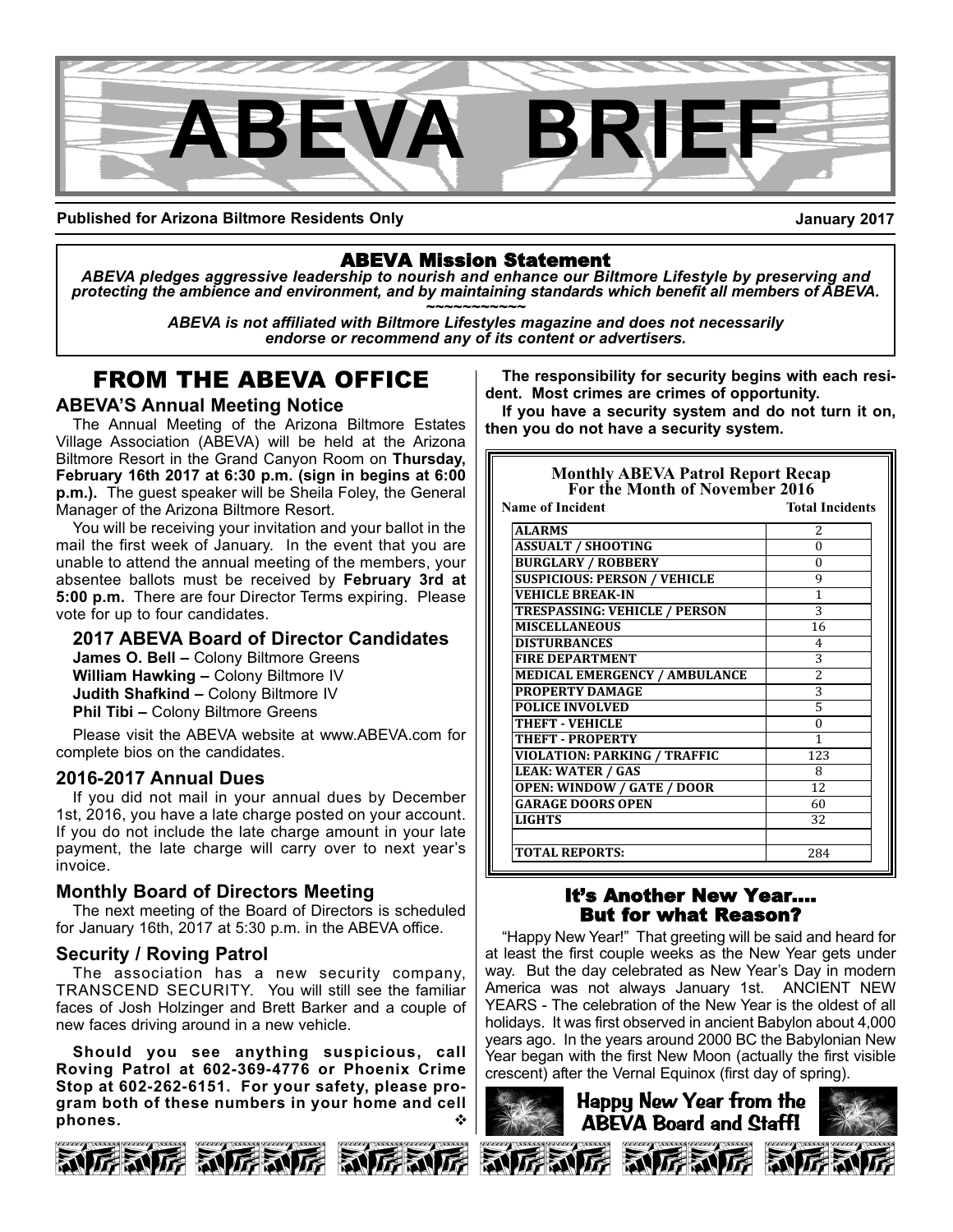

**Published for Arizona Biltmore Residents Only**

**January 2017**

### ABEVA Mission Statement

*ABEVA pledges aggressive leadership to nourish and enhance our Biltmore Lifestyle by preserving and* protecting the ambience and environment, and by maintaining standards which benefit all members of ABEVA.<br>ABEVA is not affiliated with Biltmore Lifestyles magazine and does not necessarily

*endorse or recommend any of its content or advertisers.*

# FROM THE ABEVA OFFICE

#### **ABEVA'S Annual Meeting Notice**

The Annual Meeting of the Arizona Biltmore Estates Village Association (ABEVA) will be held at the Arizona Biltmore Resort in the Grand Canyon Room on **Thursday, February 16th 2017 at 6:30 p.m. (sign in begins at 6:00 p.m.).** The guest speaker will be Sheila Foley, the General Manager of the Arizona Biltmore Resort.

You will be receiving your invitation and your ballot in the mail the first week of January. In the event that you are unable to attend the annual meeting of the members, your absentee ballots must be received by **February 3rd at 5:00 p.m.** There are four Director Terms expiring. Please vote for up to four candidates.

### **2017 ABEVA Board of Director Candidates**

**James O. Bell –** Colony Biltmore Greens **William Hawking –** Colony Biltmore IV **Judith Shafkind –** Colony Biltmore IV **Phil Tibi –** Colony Biltmore Greens

Please visit the ABEVA website at www.ABEVA.com for complete bios on the candidates.

#### **20162017 Annual Dues**

If you did not mail in your annual dues by December 1st, 2016, you have a late charge posted on your account. If you do not include the late charge amount in your late payment, the late charge will carry over to next year's invoice.

### **Monthly Board of Directors Meeting**

The next meeting of the Board of Directors is scheduled for January 16th, 2017 at 5:30 p.m. in the ABEVA office.

#### **Security / Roving Patrol**

The association has a new security company, TRANSCEND SECURITY. You will still see the familiar faces of Josh Holzinger and Brett Barker and a couple of new faces driving around in a new vehicle.

**Should you see anything suspicious, call Roving Patrol at 6023694776 or Phoenix Crime** Stop at 602-262-6151. For your safety, please pro**gram both of these numbers in your home and cell** phones.



**The responsibility for security begins with each resident. Most crimes are crimes of opportunity.** 

**If you have a security system and do not turn it on, then you do not have a security system.**

| <b>Monthly ABEVA Patrol Report Recap<br/>For the Month of November 2016</b> |                        |  |  |
|-----------------------------------------------------------------------------|------------------------|--|--|
| Name of Incident                                                            | <b>Total Incidents</b> |  |  |
| <b>ALARMS</b>                                                               | 2                      |  |  |
| <b>ASSUALT / SHOOTING</b>                                                   | 0                      |  |  |
| <b>BURGLARY / ROBBERY</b>                                                   | 0                      |  |  |
| <b>SUSPICIOUS: PERSON / VEHICLE</b>                                         | 9                      |  |  |
| <b>VEHICLE BREAK-IN</b>                                                     | 1                      |  |  |
| <b>TRESPASSING: VEHICLE / PERSON</b>                                        | 3                      |  |  |
| <b>MISCELLANEOUS</b>                                                        | 16                     |  |  |
| <b>DISTURBANCES</b>                                                         | 4                      |  |  |
| <b>FIRE DEPARTMENT</b>                                                      | 3                      |  |  |
| MEDICAL EMERGENCY / AMBULANCE                                               | $\overline{c}$         |  |  |
| PROPERTY DAMAGE                                                             | 3                      |  |  |
| <b>POLICE INVOLVED</b>                                                      | 5                      |  |  |
| <b>THEFT - VEHICLE</b>                                                      | $\Omega$               |  |  |
| <b>THEFT - PROPERTY</b>                                                     | 1                      |  |  |
| <b>VIOLATION: PARKING / TRAFFIC</b>                                         | 123                    |  |  |
| <b>LEAK: WATER / GAS</b>                                                    | 8                      |  |  |
| <b>OPEN: WINDOW / GATE / DOOR</b>                                           | 12                     |  |  |
| <b>GARAGE DOORS OPEN</b>                                                    | 60                     |  |  |
| <b>LIGHTS</b>                                                               | 32                     |  |  |
|                                                                             |                        |  |  |
| <b>TOTAL REPORTS:</b>                                                       | 284                    |  |  |
|                                                                             |                        |  |  |

#### It's Another New Year…. But for what Reason?

"Happy New Year!" That greeting will be said and heard for at least the first couple weeks as the New Year gets under way. But the day celebrated as New Year's Day in modern America was not always January 1st. ANCIENT NEW YEARS - The celebration of the New Year is the oldest of all holidays. It was first observed in ancient Babylon about 4,000 years ago. In the years around 2000 BC the Babylonian New Year began with the first New Moon (actually the first visible crescent) after the Vernal Equinox (first day of spring).

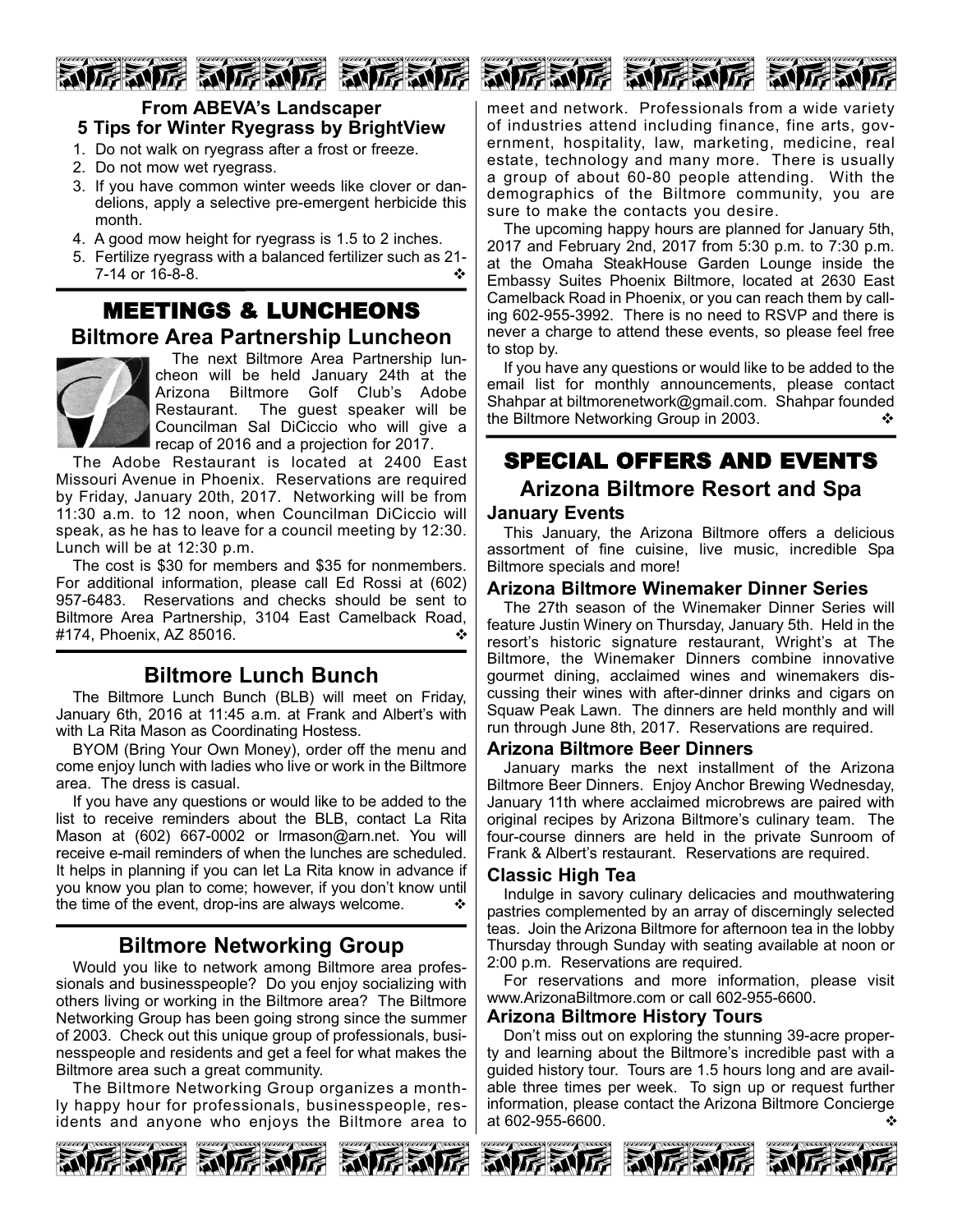# 厉威厉 动厉威厉 动厉威厉



- 1. Do not walk on ryegrass after a frost or freeze.
- 2. Do not mow wet ryegrass.
- 3. If you have common winter weeds like clover or dandelions, apply a selective pre-emergent herbicide this month.
- 4. A good mow height for ryegrass is 1.5 to 2 inches.
- 5. Fertilize ryegrass with a balanced fertilizer such as 21  $7-14$  or  $16-8-8$ .

# MEETINGS & LUNCHEONS **Biltmore Area Partnership Luncheon**



The next Biltmore Area Partnership luncheon will be held January 24th at the Arizona Biltmore Golf Club's Adobe Restaurant. The guest speaker will be Councilman Sal DiCiccio who will give a recap of 2016 and a projection for 2017.

The Adobe Restaurant is located at 2400 East Missouri Avenue in Phoenix. Reservations are required by Friday, January 20th, 2017. Networking will be from 11:30 a.m. to 12 noon, when Councilman DiCiccio will speak, as he has to leave for a council meeting by 12:30. Lunch will be at 12:30 p.m.

The cost is \$30 for members and \$35 for nonmembers. For additional information, please call Ed Rossi at (602) 957-6483. Reservations and checks should be sent to Biltmore Area Partnership, 3104 East Camelback Road, #174, Phoenix, AZ 85016. v

# **Biltmore Lunch Bunch**

The Biltmore Lunch Bunch (BLB) will meet on Friday, January 6th, 2016 at 11:45 a.m. at Frank and Albert's with with La Rita Mason as Coordinating Hostess.

BYOM (Bring Your Own Money), order off the menu and come enjoy lunch with ladies who live or work in the Biltmore area. The dress is casual.

If you have any questions or would like to be added to the list to receive reminders about the BLB, contact La Rita Mason at (602) 667-0002 or Irmason@arn.net. You will receive e-mail reminders of when the lunches are scheduled. It helps in planning if you can let La Rita know in advance if you know you plan to come; however, if you don't know until the time of the event, drop-ins are always welcome.  $\cdot\cdot\cdot$ 

# **Biltmore Networking Group**

Would you like to network among Biltmore area professionals and businesspeople? Do you enjoy socializing with others living or working in the Biltmore area? The Biltmore Networking Group has been going strong since the summer of 2003. Check out this unique group of professionals, businesspeople and residents and get a feel for what makes the Biltmore area such a great community.

The Biltmore Networking Group organizes a monthly happy hour for professionals, businesspeople, residents and anyone who enjoys the Biltmore area to



meet and network. Professionals from a wide variety of industries attend including finance, fine arts, government, hospitality, law, marketing, medicine, real estate, technology and many more. There is usually a group of about 60-80 people attending. With the demographics of the Biltmore community, you are sure to make the contacts you desire.

动房动房 动房动房 动力

The upcoming happy hours are planned for January 5th, 2017 and February 2nd, 2017 from 5:30 p.m. to 7:30 p.m. at the Omaha SteakHouse Garden Lounge inside the Embassy Suites Phoenix Biltmore, located at 2630 East Camelback Road in Phoenix, or you can reach them by calling 602-955-3992. There is no need to RSVP and there is never a charge to attend these events, so please feel free to stop by.

If you have any questions or would like to be added to the email list for monthly announcements, please contact Shahpar at biltmorenetwork@gmail.com. Shahpar founded the Biltmore Networking Group in 2003. ↓ ◆

# SPECIAL OFFERS AND EVENTS **Arizona Biltmore Resort and Spa**

#### **January Events**

This January, the Arizona Biltmore offers a delicious assortment of fine cuisine, live music, incredible Spa Biltmore specials and more!

#### **Arizona Biltmore Winemaker Dinner Series**

The 27th season of the Winemaker Dinner Series will feature Justin Winery on Thursday, January 5th. Held in the resort's historic signature restaurant, Wright's at The Biltmore, the Winemaker Dinners combine innovative gourmet dining, acclaimed wines and winemakers discussing their wines with after-dinner drinks and cigars on Squaw Peak Lawn. The dinners are held monthly and will run through June 8th, 2017. Reservations are required.

#### **Arizona Biltmore Beer Dinners**

January marks the next installment of the Arizona Biltmore Beer Dinners. Enjoy Anchor Brewing Wednesday, January 11th where acclaimed microbrews are paired with original recipes by Arizona Biltmore's culinary team. The four-course dinners are held in the private Sunroom of Frank & Albert's restaurant. Reservations are required.

#### **Classic High Tea**

Indulge in savory culinary delicacies and mouthwatering pastries complemented by an array of discerningly selected teas. Join the Arizona Biltmore for afternoon tea in the lobby Thursday through Sunday with seating available at noon or 2:00 p.m. Reservations are required.

For reservations and more information, please visit www.ArizonaBiltmore.com or call 602-955-6600.

#### **Arizona Biltmore History Tours**

Don't miss out on exploring the stunning 39-acre property and learning about the Biltmore's incredible past with a guided history tour. Tours are 1.5 hours long and are available three times per week. To sign up or request further information, please contact the Arizona Biltmore Concierge at 602-955-6600.  $\bullet$ 





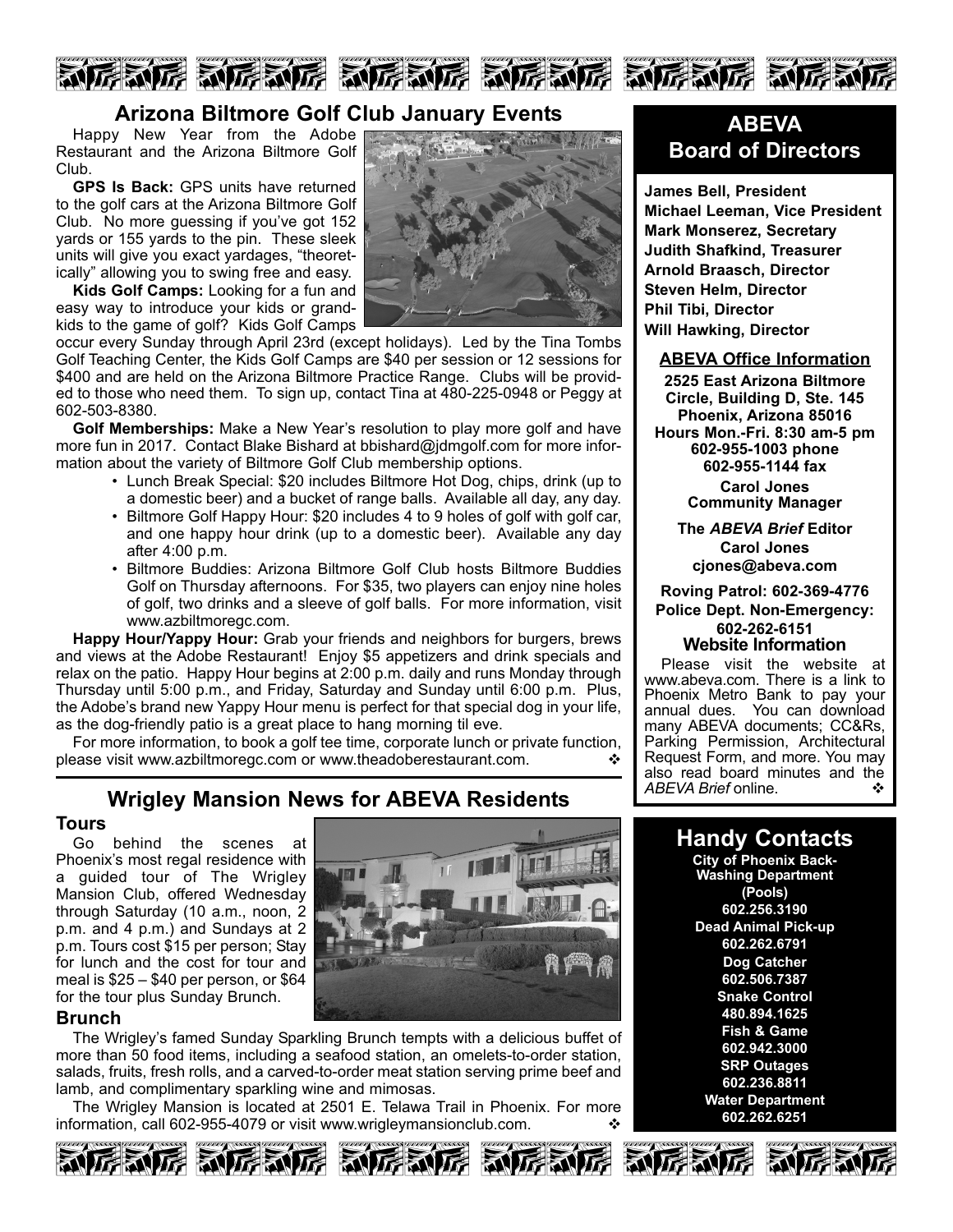

### **Arizona Biltmore Golf Club January Events**

Happy New Year from the Adobe Restaurant and the Arizona Biltmore Golf Club.

**GPS Is Back:** GPS units have returned to the golf cars at the Arizona Biltmore Golf Club. No more guessing if you've got 152 yards or 155 yards to the pin. These sleek units will give you exact yardages, "theoretically" allowing you to swing free and easy.

**Kids Golf Camps:** Looking for a fun and easy way to introduce your kids or grandkids to the game of golf? Kids Golf Camps

occur every Sunday through April 23rd (except holidays). Led by the Tina Tombs Golf Teaching Center, the Kids Golf Camps are \$40 per session or 12 sessions for \$400 and are held on the Arizona Biltmore Practice Range. Clubs will be provided to those who need them. To sign up, contact Tina at 480-225-0948 or Peggy at 602-503-8380.

**Golf Memberships:** Make a New Year's resolution to play more golf and have more fun in 2017. Contact Blake Bishard at bbishard@jdmgolf.com for more information about the variety of Biltmore Golf Club membership options.

- Lunch Break Special: \$20 includes Biltmore Hot Dog, chips, drink (up to a domestic beer) and a bucket of range balls. Available all day, any day.
- Biltmore Golf Happy Hour: \$20 includes 4 to 9 holes of golf with golf car, and one happy hour drink (up to a domestic beer). Available any day after 4:00 p.m.
- Biltmore Buddies: Arizona Biltmore Golf Club hosts Biltmore Buddies Golf on Thursday afternoons. For \$35, two players can enjoy nine holes of golf, two drinks and a sleeve of golf balls. For more information, visit www.azbiltmoregc.com.

**Happy Hour/Yappy Hour:** Grab your friends and neighbors for burgers, brews and views at the Adobe Restaurant! Enjoy \$5 appetizers and drink specials and relax on the patio. Happy Hour begins at 2:00 p.m. daily and runs Monday through Thursday until 5:00 p.m., and Friday, Saturday and Sunday until 6:00 p.m. Plus, the Adobe's brand new Yappy Hour menu is perfect for that special dog in your life, as the dog-friendly patio is a great place to hang morning til eve.

For more information, to book a golf tee time, corporate lunch or private function, please visit www.azbiltmoregc.com or www.theadoberestaurant.com.  $\cdot$ 

# **Wrigley Mansion News for ABEVA Residents**

#### **Tours**

Go behind the scenes at Phoenix's most regal residence with a guided tour of The Wrigley Mansion Club, offered Wednesday through Saturday (10 a.m., noon, 2 p.m. and 4 p.m.) and Sundays at 2 p.m. Tours cost \$15 per person; Stay for lunch and the cost for tour and meal is \$25 – \$40 per person, or \$64 for the tour plus Sunday Brunch.

#### **Brunch**

The Wrigley's famed Sunday Sparkling Brunch tempts with a delicious buffet of more than 50 food items, including a seafood station, an omelets-to-order station, salads, fruits, fresh rolls, and a carved-to-order meat station serving prime beef and lamb, and complimentary sparkling wine and mimosas.

The Wrigley Mansion is located at 2501 E. Telawa Trail in Phoenix. For more information, call 602-955-4079 or visit www.wrigleymansionclub.com.

**MEAL** 







# **ABEVA Board of Directors**

**James Bell, President Michael Leeman, Vice President Mark Monserez, Secretary Judith Shafkind, Treasurer Arnold Braasch, Director Steven Helm, Director Phil Tibi, Director Will Hawking, Director**

#### **ABEVA Office Information**

**2525 East Arizona Biltmore Circle, Building D, Ste. 145 Phoenix, Arizona 85016 Hours Mon.Fri. 8:30 am5 pm 6029551003 phone 6029551144 fax Carol Jones Community Manager**

> **The** *ABEVA Brief* **Editor Carol Jones cjones@abeva.com**

**Roving Patrol: 6023694776 Police Dept. Non-Emergency: 6022626151 Website Information**

Please visit the website at www.abeva.com. There is a link to Phoenix Metro Bank to pay your annual dues. You can download many ABEVA documents; CC&Rs, Parking Permission, Architectural Request Form, and more. You may also read board minutes and the  $ABFVA$  Brief online ABEVA Brief online.

> **Handy Contacts City of Phoenix Back-Washing Department (Pools) 602.256.3190 Dead Animal Pick-up 602.262.6791 Dog Catcher 602.506.7387 Snake Control 480.894.1625 Fish & Game 602.942.3000 SRP Outages 602.236.8811 Water Department 602.262.6251**